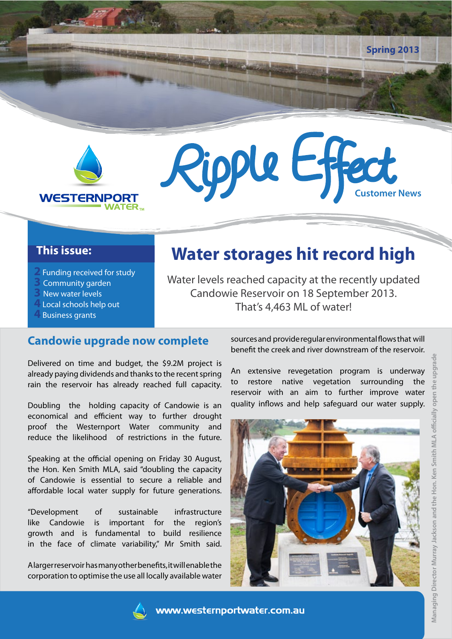

#### **This issue:**

- **2** Funding received for study
- **3** Community garden
- **3** New water levels
- **4** Local schools help out
- **4** Business grants

# **Water storages hit record high**

Ripple Effect

Water levels reached capacity at the recently updated Candowie Reservoir on 18 September 2013. That's 4,463 ML of water!

#### **Candowie upgrade now complete**

Delivered on time and budget, the \$9.2M project is already paying dividends and thanks to the recent spring rain the reservoir has already reached full capacity.

Doubling the holding capacity of Candowie is an economical and efficient way to further drought proof the Westernport Water community and reduce the likelihood of restrictions in the future.

Speaking at the official opening on Friday 30 August, the Hon. Ken Smith MLA, said "doubling the capacity of Candowie is essential to secure a reliable and affordable local water supply for future generations.

"Development of sustainable infrastructure like Candowie is important for the region's growth and is fundamental to build resilience in the face of climate variability," Mr Smith said.

A larger reservoir has many other benefits, it will enable the corporation to optimise the use all locally available water sources and provide regular environmental flows that will benefit the creek and river downstream of the reservoir.

**Spring 2013**

An extensive revegetation program is underway to restore native vegetation surrounding the reservoir with an aim to further improve water quality inflows and help safeguard our water supply.



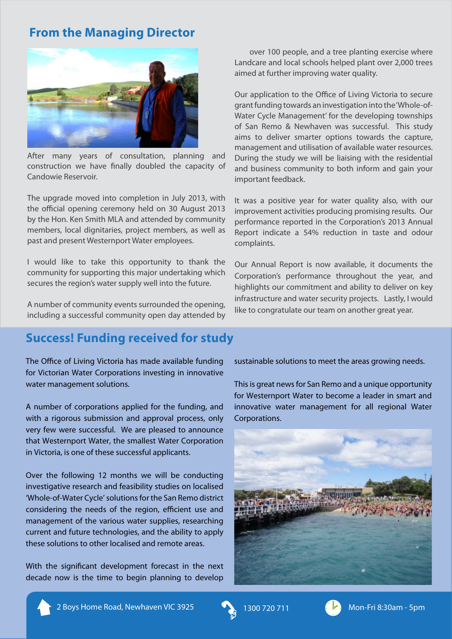## **From the Managing Director**



After many years of consultation, planning and construction we have finally doubled the capacity of Candowie Reservoir.

The upgrade moved into completion in July 2013, with the official opening ceremony held on 30 August 2013 by the Hon. Ken Smith MLA and attended by community members, local dignitaries, project members, as well as past and present Westernport Water employees.

I would like to take this opportunity to thank the community for supporting this major undertaking which secures the region's water supply well into the future.

A number of community events surrounded the opening, including a successful community open day attended by

### **Success! Funding received for study**

The Office of Living Victoria has made available funding for Victorian Water Corporations investing in innovative water management solutions.

A number of corporations applied for the funding, and with a rigorous submission and approval process, only very few were successful. We are pleased to announce that Westernport Water, the smallest Water Corporation in Victoria, is one of these successful applicants.

Over the following 12 months we will be conducting investigative research and feasibility studies on localised 'Whole-of-Water Cycle' solutions for the San Remo district considering the needs of the region, efficient use and management of the various water supplies, researching current and future technologies, and the ability to apply these solutions to other localised and remote areas.

With the significant development forecast in the next decade now is the time to begin planning to develop

over 100 people, and a tree planting exercise where Landcare and local schools helped plant over 2,000 trees aimed at further improving water quality.

Our application to the Office of Living Victoria to secure grant funding towards an investigation into the 'Whole-of-Water Cycle Management' for the developing townships of San Remo & Newhaven was successful. This study aims to deliver smarter options towards the capture, management and utilisation of available water resources. During the study we will be liaising with the residential and business community to both inform and gain your important feedback.

It was a positive year for water quality also, with our improvement activities producing promising results. Our performance reported in the Corporation's 2013 Annual Report indicate a 54% reduction in taste and odour complaints.

Our Annual Report is now available, it documents the Corporation's performance throughout the year, and highlights our commitment and ability to deliver on key infrastructure and water security projects. Lastly, I would like to congratulate our team on another great year.

sustainable solutions to meet the areas growing needs.

This is great news for San Remo and a unique opportunity for Westernport Water to become a leader in smart and innovative water management for all regional Water Corporations.



2 Boys Home Road, Newhaven VIC 3925 1300 720 711 (2) Mon-Fri 8:30am - 5pm



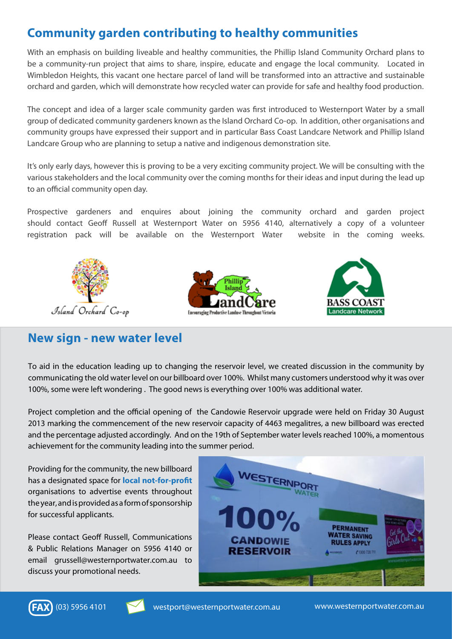## **Community garden contributing to healthy communities**

With an emphasis on building liveable and healthy communities, the Phillip Island Community Orchard plans to be a community-run project that aims to share, inspire, educate and engage the local community. Located in Wimbledon Heights, this vacant one hectare parcel of land will be transformed into an attractive and sustainable orchard and garden, which will demonstrate how recycled water can provide for safe and healthy food production.

The concept and idea of a larger scale community garden was first introduced to Westernport Water by a small group of dedicated community gardeners known as the Island Orchard Co-op. In addition, other organisations and community groups have expressed their support and in particular Bass Coast Landcare Network and Phillip Island Landcare Group who are planning to setup a native and indigenous demonstration site.

It's only early days, however this is proving to be a very exciting community project. We will be consulting with the various stakeholders and the local community over the coming months for their ideas and input during the lead up to an official community open day.

Prospective gardeners and enquires about joining the community orchard and garden project should contact Geoff Russell at Westernport Water on 5956 4140, alternatively a copy of a volunteer registration pack will be available on the Westernport Water website in the coming weeks.







#### **New sign - new water level**

To aid in the education leading up to changing the reservoir level, we created discussion in the community by communicating the old water level on our billboard over 100%. Whilst many customers understood why it was over 100%, some were left wondering . The good news is everything over 100% was additional water.

Project completion and the official opening of the Candowie Reservoir upgrade were held on Friday 30 August 2013 marking the commencement of the new reservoir capacity of 4463 megalitres, a new billboard was erected and the percentage adjusted accordingly. And on the 19th of September water levels reached 100%, a momentous achievement for the community leading into the summer period.

Providing for the community, the new billboard has a designated space for **local not-for-profit**  organisations to advertise events throughout the year, and is provided as a form of sponsorship for successful applicants.

Please contact Geoff Russell, Communications & Public Relations Manager on 5956 4140 or email grussell@westernportwater.com.au to discuss your promotional needs.